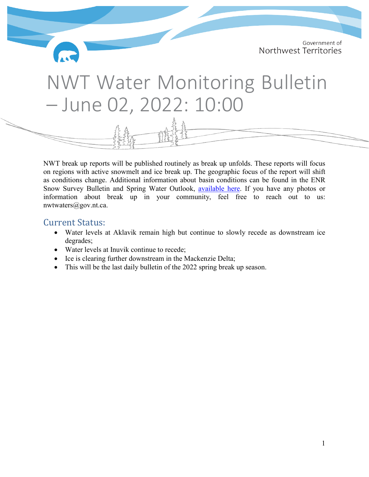Government of Northwest Territories

# NWT Water Monitoring Bulletin – June 02, 2022: 10:00

NWT break up reports will be published routinely as break up unfolds. These reports will focus on regions with active snowmelt and ice break up. The geographic focus of the report will shift as conditions change. Additional information about basin conditions can be found in the ENR Snow Survey Bulletin and Spring Water Outlook, [available here.](https://www.enr.gov.nt.ca/sites/enr/files/resources/spring_water_level_outlook_2022_final_2.pdf) If you have any photos or information about break up in your community, feel free to reach out to us: nwtwaters@gov.nt.ca.

- <span id="page-0-0"></span>Current Status: • Water levels at Aklavik remain high but continue to slowly recede as downstream ice degrades;
	- Water levels at Inuvik continue to recede;
	- Ice is clearing further downstream in the Mackenzie Delta;
	- This will be the last daily bulletin of the 2022 spring break up season.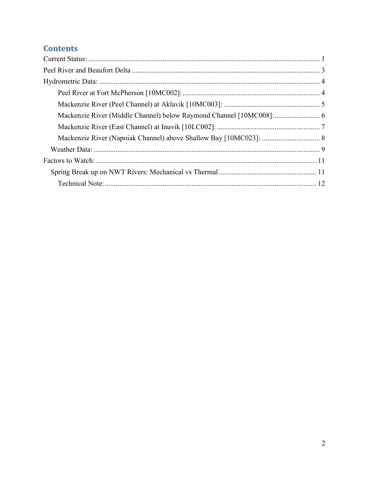# **Contents**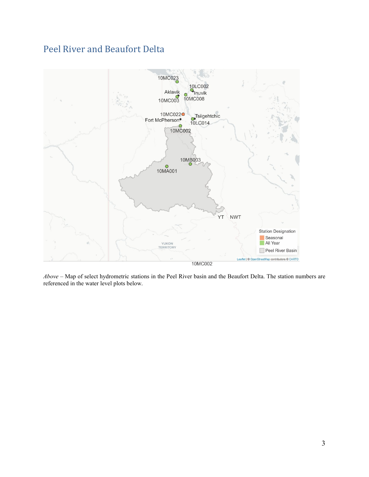# <span id="page-2-0"></span>Peel River and Beaufort Delta



*Above* – Map of select hydrometric stations in the Peel River basin and the Beaufort Delta. The station numbers are referenced in the water level plots below.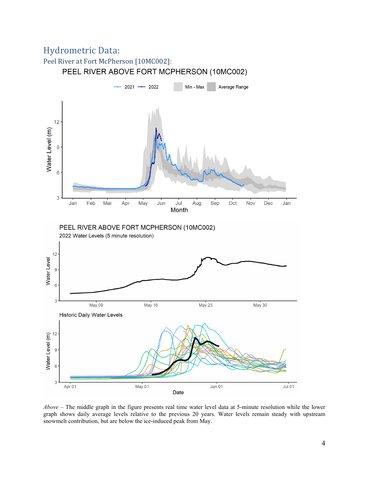# <span id="page-3-0"></span>Hydrometric Data:

<span id="page-3-1"></span>



*Above* – The middle graph in the figure presents real time water level data at 5-minute resolution while the lower graph shows daily average levels relative to the previous 20 years. Water levels remain steady with upstream snowmelt contribution, but are below the ice-induced peak from May.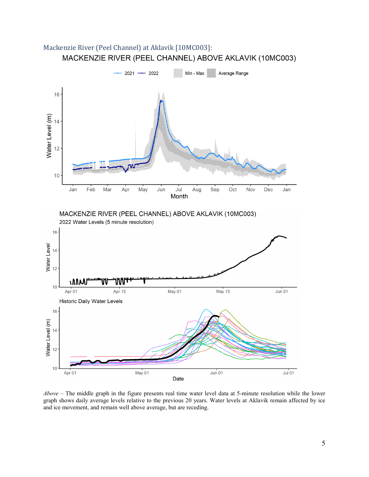<span id="page-4-0"></span>



*Above* – The middle graph in the figure presents real time water level data at 5-minute resolution while the lower graph shows daily average levels relative to the previous 20 years. Water levels at Aklavik remain affected by ice and ice movement, and remain well above average, but are receding.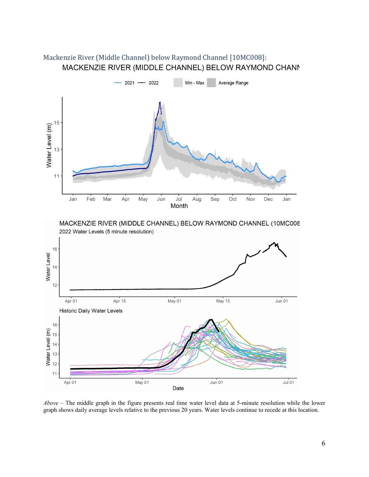

# <span id="page-5-0"></span>Mackenzie River (Middle Channel) below Raymond Channel [10MC008]:<br>MACKENZIE RIVER (MIDDLE CHANNEL) BELOW RAYMOND CHANN



*Above* – The middle graph in the figure presents real time water level data at 5-minute resolution while the lower graph shows daily average levels relative to the previous 20 years. Water levels continue to recede at this location.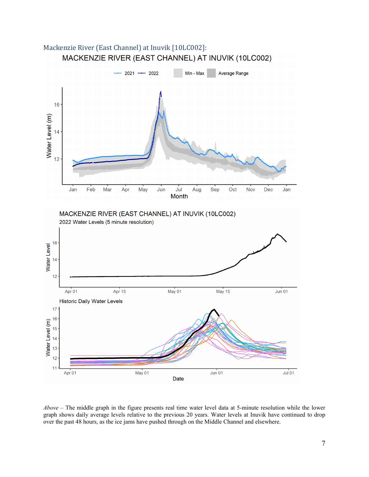

<span id="page-6-0"></span>Mackenzie River (East Channel) at Inuvik [10LC002]:<br>MACKENZIE RIVER (EAST CHANNEL) AT INUVIK (10LC002)

*Above* – The middle graph in the figure presents real time water level data at 5-minute resolution while the lower graph shows daily average levels relative to the previous 20 years. Water levels at Inuvik have continued to drop over the past 48 hours, as the ice jams have pushed through on the Middle Channel and elsewhere.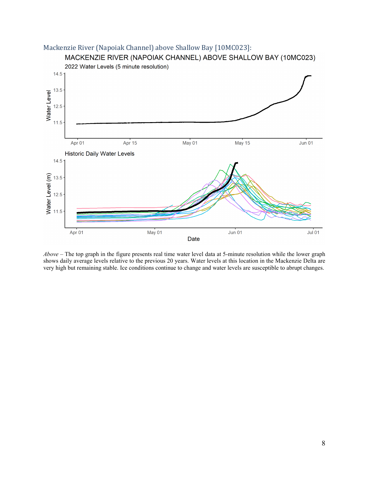<span id="page-7-0"></span>

*Above* – The top graph in the figure presents real time water level data at 5-minute resolution while the lower graph shows daily average levels relative to the previous 20 years. Water levels at this location in the Mackenzie Delta are very high but remaining stable. Ice conditions continue to change and water levels are susceptible to abrupt changes.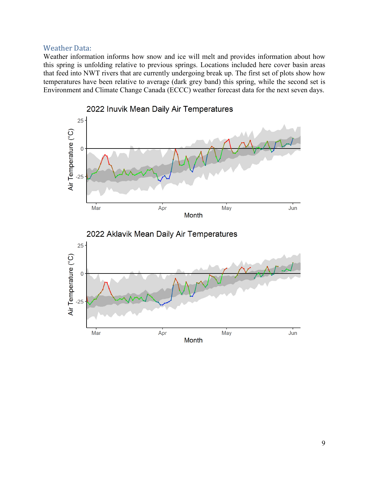#### <span id="page-8-0"></span>Weather Data:

Weather information informs how snow and ice will melt and provides information about how this spring is unfolding relative to previous springs. Locations included here cover basin areas that feed into NWT rivers that are currently undergoing break up. The first set of plots show how temperatures have been relative to average (dark grey band) this spring, while the second set is Environment and Climate Change Canada (ECCC) weather forecast data for the next seven days.

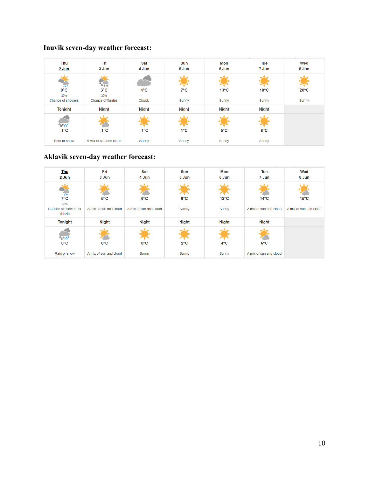# **Inuvik seven-day weather forecast:**

| <b>Thu</b><br>$2$ Jun                                                                  | Fri<br>3 Jun                               | Sat<br>4 Jun            | Sun<br>5 Jun           | Mon<br>6 Jun            | Tue<br>7 Jun            | Wed<br>8 Jun            |
|----------------------------------------------------------------------------------------|--------------------------------------------|-------------------------|------------------------|-------------------------|-------------------------|-------------------------|
| 444                                                                                    | 带件带                                        |                         |                        |                         |                         |                         |
| 8°C<br>30%<br>Chance of showers                                                        | $3^{\circ}$ C<br>30%<br>Chance of flurries | $4^{\circ}$ C<br>Cloudy | $7^{\circ}$ C<br>Sunny | $13^{\circ}$ C<br>Sunny | $18^{\circ}$ C<br>Sunny | $20^{\circ}$ C<br>Sunny |
| Tonight                                                                                | <b>Night</b>                               | <b>Night</b>            | <b>Night</b>           | <b>Night</b>            | <b>Night</b>            |                         |
| $\frac{\partial}{\partial t}\frac{\partial}{\partial t}$ , $\epsilon$<br>$-1^{\circ}C$ | $-1^{\circ}C$                              | $-1^{\circ}C$           | $1^{\circ}C$           | $5^{\circ}$ C           | 8°C                     |                         |
| Rain or snow                                                                           | A mix of sun and cloud                     | Sunny                   | Sunny                  | Sunny                   | Sunny                   |                         |

# **Aklavik seven-day weather forecast:**

| <b>Thu</b><br>2 Jun                                            | Fri<br>3 Jun                            | Sat<br>4 Jun                            | Sun<br>5 Jun          | Mon<br>6 Jun            | Tue<br>7 Jun                             | Wed<br>8 Jun                             |
|----------------------------------------------------------------|-----------------------------------------|-----------------------------------------|-----------------------|-------------------------|------------------------------------------|------------------------------------------|
| 666<br>$7^{\circ}$ C<br>30%<br>Chance of showers or<br>drizzle | $5^{\circ}$ C<br>A mix of sun and cloud | $6^{\circ}$ C<br>A mix of sun and cloud | $9^{\circ}C$<br>Sunny | $12^{\circ}$ C<br>Sunny | $14^{\circ}$ C<br>A mix of sun and cloud | $15^{\circ}$ C<br>A mix of sun and cloud |
| <b>Tonight</b>                                                 | <b>Night</b>                            | <b>Night</b>                            | <b>Night</b>          | <b>Night</b>            | <b>Night</b>                             |                                          |
| $\Phi_{\alpha} \Phi_{\alpha} \Phi_{\alpha}$<br>$0^{\circ}$ C   | $0^{\circ}$ C                           | $0^{\circ}$ C                           | $2^{\circ}$ C         | $4^{\circ}$ C           | $6^{\circ}$ C                            |                                          |
| Rain or snow                                                   | A mix of sun and cloud                  | Sunny                                   | Sunny                 | Sunny                   | A mix of sun and cloud                   |                                          |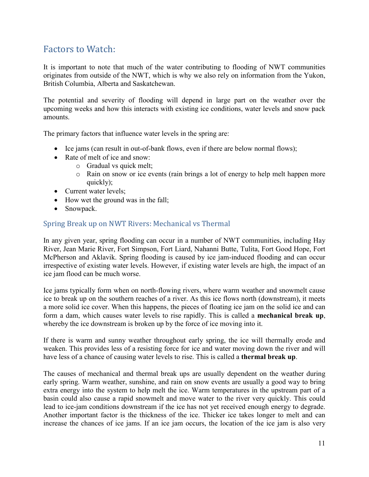# <span id="page-10-0"></span>Factors to Watch:

It is important to note that much of the water contributing to flooding of NWT communities originates from outside of the NWT, which is why we also rely on information from the Yukon, British Columbia, Alberta and Saskatchewan.

The potential and severity of flooding will depend in large part on the weather over the upcoming weeks and how this interacts with existing ice conditions, water levels and snow pack amounts.

The primary factors that influence water levels in the spring are:

- Ice jams (can result in out-of-bank flows, even if there are below normal flows);
- Rate of melt of ice and snow:
	- o Gradual vs quick melt;
	- o Rain on snow or ice events (rain brings a lot of energy to help melt happen more quickly);
- Current water levels;
- How wet the ground was in the fall;
- Snowpack.

### <span id="page-10-1"></span>Spring Break up on NWT Rivers: Mechanical vs Thermal

In any given year, spring flooding can occur in a number of NWT communities, including Hay River, Jean Marie River, Fort Simpson, Fort Liard, Nahanni Butte, Tulita, Fort Good Hope, Fort McPherson and Aklavik. Spring flooding is caused by ice jam-induced flooding and can occur irrespective of existing water levels. However, if existing water levels are high, the impact of an ice jam flood can be much worse.

Ice jams typically form when on north-flowing rivers, where warm weather and snowmelt cause ice to break up on the southern reaches of a river. As this ice flows north (downstream), it meets a more solid ice cover. When this happens, the pieces of floating ice jam on the solid ice and can form a dam, which causes water levels to rise rapidly. This is called a **mechanical break up**, whereby the ice downstream is broken up by the force of ice moving into it.

If there is warm and sunny weather throughout early spring, the ice will thermally erode and weaken. This provides less of a resisting force for ice and water moving down the river and will have less of a chance of causing water levels to rise. This is called a **thermal break up**.

The causes of mechanical and thermal break ups are usually dependent on the weather during early spring. Warm weather, sunshine, and rain on snow events are usually a good way to bring extra energy into the system to help melt the ice. Warm temperatures in the upstream part of a basin could also cause a rapid snowmelt and move water to the river very quickly. This could lead to ice-jam conditions downstream if the ice has not yet received enough energy to degrade. Another important factor is the thickness of the ice. Thicker ice takes longer to melt and can increase the chances of ice jams. If an ice jam occurs, the location of the ice jam is also very